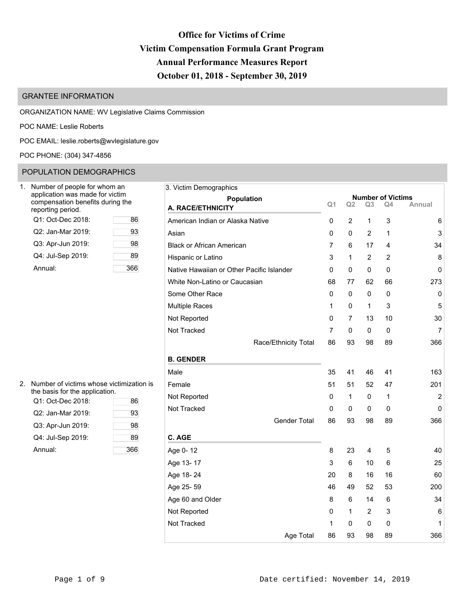# **Office for Victims of Crime Victim Compensation Formula Grant Program Annual Performance Measures Report October 01, 2018 - September 30, 2019**

## GRANTEE INFORMATION

ORGANIZATION NAME: WV Legislative Claims Commission

POC NAME: Leslie Roberts

POC EMAIL: [leslie.roberts@wvlegislature.gov](mailto:leslie.roberts@wvlegislature.gov)

POC PHONE: (304) 347-4856

### POPULATION DEMOGRAPHICS

| Number of people for whom an<br>application was made for victim<br>compensation benefits during the<br>reporting period. |    |
|--------------------------------------------------------------------------------------------------------------------------|----|
| Q1: Oct-Dec 2018:                                                                                                        | 86 |
| Q2: Jan-Mar 2019:                                                                                                        | 93 |
| Q3: Apr-Jun 2019:                                                                                                        | 98 |
| Q4: Jul-Sep 2019:                                                                                                        | 89 |
| Annual:                                                                                                                  |    |

| 2. | Number of victims whose victimization is<br>the basis for the application. |     | Female   |
|----|----------------------------------------------------------------------------|-----|----------|
|    | Q1: Oct-Dec 2018:                                                          | 86  | Not Rep  |
|    | Q2: Jan-Mar 2019:                                                          | 93  | Not Trac |
|    | Q3: Apr-Jun 2019:                                                          | 98  |          |
|    | Q4: Jul-Sep 2019:                                                          | 89  | C. AGE   |
|    | Annual:                                                                    | 366 | Age 0-1  |
|    |                                                                            |     |          |

| Number of people for whom an                                        |     | 3. Victim Demographics                    |                |                |                |                          |                |
|---------------------------------------------------------------------|-----|-------------------------------------------|----------------|----------------|----------------|--------------------------|----------------|
| application was made for victim<br>compensation benefits during the |     | <b>Population</b>                         |                |                |                | <b>Number of Victims</b> |                |
| eporting period.                                                    |     | A. RACE/ETHNICITY                         | Q <sub>1</sub> | Q <sub>2</sub> | Q <sub>3</sub> | Q4                       | Annual         |
| Q1: Oct-Dec 2018:                                                   | 86  | American Indian or Alaska Native          | 0              | 2              | 1              | 3                        | 6              |
| Q2: Jan-Mar 2019:                                                   | 93  | Asian                                     | 0              | 0              | 2              | 1                        | 3              |
| Q3: Apr-Jun 2019:                                                   | 98  | <b>Black or African American</b>          | 7              | 6              | 17             | 4                        | 34             |
| Q4: Jul-Sep 2019:                                                   | 89  | Hispanic or Latino                        | 3              | 1              | 2              | 2                        | 8              |
| Annual:                                                             | 366 | Native Hawaiian or Other Pacific Islander | 0              | 0              | 0              | 0                        | 0              |
|                                                                     |     | White Non-Latino or Caucasian             | 68             | 77             | 62             | 66                       | 273            |
|                                                                     |     | Some Other Race                           | 0              | 0              | 0              | 0                        | 0              |
|                                                                     |     | <b>Multiple Races</b>                     | 1              | 0              | $\mathbf{1}$   | 3                        | 5              |
|                                                                     |     | Not Reported                              | 0              | 7              | 13             | 10                       | 30             |
|                                                                     |     | Not Tracked                               | 7              | 0              | 0              | 0                        | $\overline{7}$ |
|                                                                     |     | Race/Ethnicity Total                      | 86             | 93             | 98             | 89                       | 366            |
|                                                                     |     | <b>B. GENDER</b>                          |                |                |                |                          |                |
|                                                                     |     | Male                                      | 35             | 41             | 46             | 41                       | 163            |
| Number of victims whose victimization is                            |     | Female                                    | 51             | 51             | 52             | 47                       | 201            |
| he basis for the application.<br>Q1: Oct-Dec 2018:                  | 86  | Not Reported                              | 0              | 1              | 0              | 1                        | $\overline{2}$ |
| Q2: Jan-Mar 2019:                                                   | 93  | Not Tracked                               | 0              | 0              | 0              | 0                        | $\mathbf 0$    |
| Q3: Apr-Jun 2019:                                                   | 98  | <b>Gender Total</b>                       | 86             | 93             | 98             | 89                       | 366            |
| Q4: Jul-Sep 2019:                                                   | 89  | C. AGE                                    |                |                |                |                          |                |
| Annual:                                                             | 366 | Age 0-12                                  | 8              | 23             | 4              | 5                        | 40             |
|                                                                     |     | Age 13-17                                 | 3              | 6              | 10             | 6                        | 25             |
|                                                                     |     | Age 18-24                                 | 20             | 8              | 16             | 16                       | 60             |
|                                                                     |     | Age 25-59                                 | 46             | 49             | 52             | 53                       | 200            |
|                                                                     |     | Age 60 and Older                          | 8              | 6              | 14             | 6                        | 34             |
|                                                                     |     | Not Reported                              | 0              | 1              | 2              | 3                        | 6              |
|                                                                     |     | Not Tracked                               | 1              | 0              | 0              | 0                        | 1              |
|                                                                     |     | Age Total                                 | 86             | 93             | 98             | 89                       | 366            |
|                                                                     |     |                                           |                |                |                |                          |                |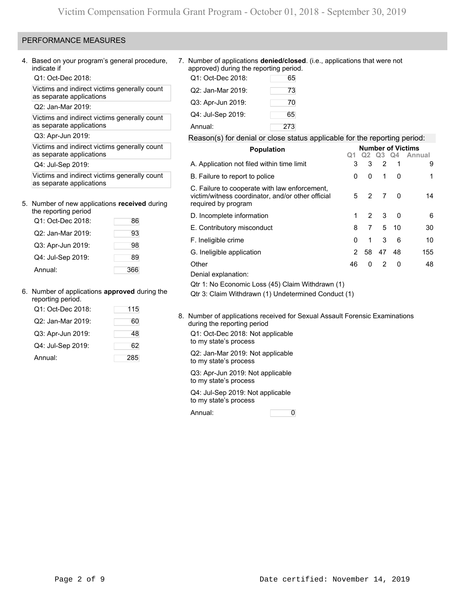### PERFORMANCE MEASURES

4. Based on your program's general procedure, indicate if

Q1: Oct-Dec 2018:

Victims and indirect victims generally count as separate applications

Q2: Jan-Mar 2019:

Victims and indirect victims generally count as separate applications

Q3: Apr-Jun 2019:

Victims and indirect victims generally count as separate applications

Q4: Jul-Sep 2019:

Victims and indirect victims generally count as separate applications

### 5. Number of new applications **received** during the reporting period

| ine reporting penoa |     |
|---------------------|-----|
| Q1: Oct-Dec 2018:   | 86  |
| Q2: Jan-Mar 2019:   | 93  |
| Q3: Apr-Jun 2019:   | 98  |
| Q4: Jul-Sep 2019:   | 89  |
| Annual:             | 366 |

### 6. Number of applications **approved** during the

| reporting period. |     |
|-------------------|-----|
| Q1: Oct-Dec 2018: | 115 |
| Q2: Jan-Mar 2019: | 60  |
| Q3: Apr-Jun 2019: | 48  |
| Q4: Jul-Sep 2019: | 62  |
| Annual:           | 285 |

7. Number of applications **denied/closed**. (i.e., applications that were not approved) during the reporting period.

| Q1: Oct-Dec 2018: | 65  |
|-------------------|-----|
| Q2: Jan-Mar 2019: | 73  |
| Q3: Apr-Jun 2019: | 70  |
| Q4: Jul-Sep 2019: | 65  |
| Annual:           | 273 |

### Reason(s) for denial or close status applicable for the reporting period:

| <b>Population</b>                                                                                                         |                |    |          |              | <b>Number of Victims</b> |
|---------------------------------------------------------------------------------------------------------------------------|----------------|----|----------|--------------|--------------------------|
|                                                                                                                           | Q1             |    | Q2 Q3 Q4 |              | Annual                   |
| A. Application not filed within time limit                                                                                | 3              | 3  | 2        | -1           | 9                        |
| B. Failure to report to police                                                                                            | 0              | 0  | 1        | 0            | 1                        |
| C. Failure to cooperate with law enforcement,<br>victim/witness coordinator, and/or other official<br>required by program | 5              | 2  | 7        | $\Omega$     | 14                       |
| D. Incomplete information                                                                                                 | 1              | 2  | 3        | $\mathbf{0}$ | 6                        |
| E. Contributory misconduct                                                                                                | 8              | 7  | 5        | 10           | 30                       |
| F. Ineligible crime                                                                                                       | 0              | 1  | 3        | 6            | 10                       |
| G. Ineligible application                                                                                                 | $\overline{2}$ | 58 | 47       | 48           | 155                      |
| Other                                                                                                                     | 46             | 0  | 2        | $\Omega$     | 48                       |
| Denial explanation:                                                                                                       |                |    |          |              |                          |
| Qtr 1: No Economic Loss (45) Claim Withdrawn (1)                                                                          |                |    |          |              |                          |
| Qtr 3: Claim Withdrawn (1) Undetermined Conduct (1)                                                                       |                |    |          |              |                          |

8. Number of applications received for Sexual Assault Forensic Examinations during the reporting period

Q1: Oct-Dec 2018: Not applicable to my state's process

Q2: Jan-Mar 2019: Not applicable to my state's process

Q3: Apr-Jun 2019: Not applicable to my state's process

Q4: Jul-Sep 2019: Not applicable to my state's process

Annual: 0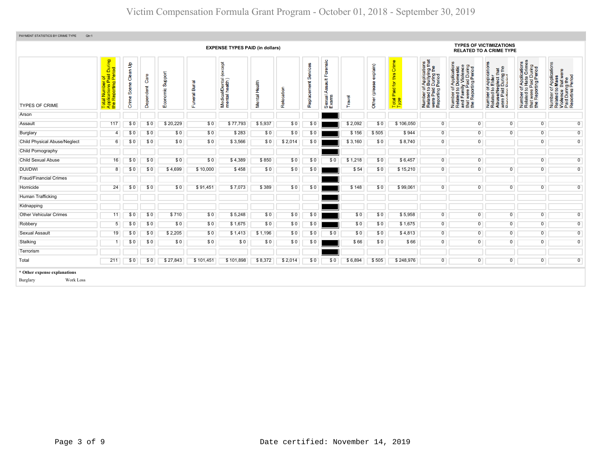| <b>TYPES OF VICTIMIZATIONS</b><br><b>EXPENSE TYPES PAID (in dollars)</b><br><b>RELATED TO A CRIME TYPE</b> |                                                                                                     |                               |                   |                     |                                         |                                                    |               |            |                         |                                             |         |                           |                                                                                |                                                                                                                                        |                                                                                                                       |                                                                                                                                                                 |                                                                                                                |                                                                                                        |
|------------------------------------------------------------------------------------------------------------|-----------------------------------------------------------------------------------------------------|-------------------------------|-------------------|---------------------|-----------------------------------------|----------------------------------------------------|---------------|------------|-------------------------|---------------------------------------------|---------|---------------------------|--------------------------------------------------------------------------------|----------------------------------------------------------------------------------------------------------------------------------------|-----------------------------------------------------------------------------------------------------------------------|-----------------------------------------------------------------------------------------------------------------------------------------------------------------|----------------------------------------------------------------------------------------------------------------|--------------------------------------------------------------------------------------------------------|
| <b>TYPES OF CRIME</b>                                                                                      | During<br>10d<br>ial Number of<br>plications Paid I<br>· Reporting Peri<br>Total<br>Applic<br>the R | နှ<br>Clean<br>Scene<br>Crime | Care<br>Dependent | Support<br>Economic | Burial<br>$\overline{5}$<br>ō<br>S<br>ш | except<br>i/Dental<br>health)<br>Medical<br>mental | Mental Health | Relocation | Services<br>Replacement | Forensic<br>ssault<br>₹<br>Sexual.<br>Exams | Travel  | explain)<br>Other (please | Crime<br>this<br>$\overline{\mathbf{p}}$<br>Paid <sub>1</sub><br>Total<br>Type | f Applications<br>b Bullying that<br>I During the<br>Period<br>Number of <i>A</i><br>Related to <b>B</b><br>were Paid L<br>Reporting P | Number of Applications<br>Related to Domestic<br>and Family Violence<br>that were Paid During<br>the Reporting Period | T Applications<br>b Elder<br>sglect that<br>During the<br>Period<br>per of <i>I</i><br>ed to E<br>Paid L<br>Number<br>Related<br>Abusel<br>were Pai<br>Reportin | <b>Applications</b><br>Hate Crimes<br>Paid During<br>ting Period<br>59<br>t were<br>Number<br>Related<br>the E | Number of Applications<br>Related to Mass<br>Violence that were<br>Paid During the<br>Reporting Period |
| Arson                                                                                                      |                                                                                                     |                               |                   |                     |                                         |                                                    |               |            |                         |                                             |         |                           |                                                                                |                                                                                                                                        |                                                                                                                       |                                                                                                                                                                 |                                                                                                                |                                                                                                        |
| Assault                                                                                                    | 117                                                                                                 | \$0                           | \$0               | \$20,229            | \$0                                     | \$77,793                                           | \$5,937       | \$0        | \$0                     |                                             | \$2,092 | \$0                       | \$106,050                                                                      | $\overline{0}$                                                                                                                         | $\overline{0}$                                                                                                        | $\overline{0}$                                                                                                                                                  | $\overline{0}$                                                                                                 | $\overline{0}$                                                                                         |
| Burglary                                                                                                   | $\overline{4}$                                                                                      | \$0                           | \$0               | \$0                 | \$0                                     | \$283                                              | \$0           | \$0        | \$0                     |                                             | \$156   | \$505                     | \$944                                                                          | $\overline{0}$                                                                                                                         | $\overline{0}$                                                                                                        | $\mathbf{0}$                                                                                                                                                    | $\overline{0}$                                                                                                 | $\overline{0}$                                                                                         |
| <b>Child Physical Abuse/Neglect</b>                                                                        | 6                                                                                                   | \$0                           | \$0               | \$0                 | \$0                                     | \$3,566                                            | \$0           | \$2,014    | \$0                     |                                             | \$3,160 | \$0                       | \$8,740                                                                        | $\overline{0}$                                                                                                                         | $\overline{0}$                                                                                                        |                                                                                                                                                                 | $\overline{0}$                                                                                                 | $\overline{0}$                                                                                         |
| Child Pornography                                                                                          |                                                                                                     |                               |                   |                     |                                         |                                                    |               |            |                         |                                             |         |                           |                                                                                |                                                                                                                                        |                                                                                                                       |                                                                                                                                                                 |                                                                                                                |                                                                                                        |
| <b>Child Sexual Abuse</b>                                                                                  | 16                                                                                                  | \$0                           | \$0               | \$0                 | \$0                                     | \$4,389                                            | \$850         | \$0        | \$0                     | \$0                                         | \$1,218 | \$0                       | \$6,457                                                                        | $\overline{0}$                                                                                                                         | $\overline{0}$                                                                                                        |                                                                                                                                                                 | $\overline{0}$                                                                                                 | $\overline{0}$                                                                                         |
| DUI/DWI                                                                                                    | 8                                                                                                   | \$0                           | \$0               | \$4,699             | \$10,000                                | \$458                                              | \$0           | \$0        | \$0                     |                                             | \$54    | \$0                       | \$15,210                                                                       | $\overline{0}$                                                                                                                         | $\overline{0}$                                                                                                        | $\overline{0}$                                                                                                                                                  | $\overline{0}$                                                                                                 | $\overline{0}$                                                                                         |
| <b>Fraud/Financial Crimes</b>                                                                              |                                                                                                     |                               |                   |                     |                                         |                                                    |               |            |                         |                                             |         |                           |                                                                                |                                                                                                                                        |                                                                                                                       |                                                                                                                                                                 |                                                                                                                |                                                                                                        |
| Homicide                                                                                                   | 24                                                                                                  | \$0                           | \$0               | \$0                 | \$91,451                                | \$7,073                                            | \$389         | \$0        | \$0                     |                                             | \$148   | \$0                       | \$99,061                                                                       | $\overline{0}$                                                                                                                         | $\overline{0}$                                                                                                        | $\overline{0}$                                                                                                                                                  | $\overline{0}$                                                                                                 | $\overline{0}$                                                                                         |
| Human Trafficking                                                                                          |                                                                                                     |                               |                   |                     |                                         |                                                    |               |            |                         |                                             |         |                           |                                                                                |                                                                                                                                        |                                                                                                                       |                                                                                                                                                                 |                                                                                                                |                                                                                                        |
| Kidnapping                                                                                                 |                                                                                                     |                               |                   |                     |                                         |                                                    |               |            |                         |                                             |         |                           |                                                                                |                                                                                                                                        |                                                                                                                       |                                                                                                                                                                 |                                                                                                                |                                                                                                        |
| <b>Other Vehicular Crimes</b>                                                                              | 11                                                                                                  | \$0                           | \$0               | \$710               | \$0                                     | \$5,248                                            | \$0           | \$0        | \$0                     |                                             | \$0     | \$0                       | \$5,958                                                                        | $\overline{0}$                                                                                                                         | $\overline{0}$                                                                                                        | $\overline{0}$                                                                                                                                                  | $\overline{0}$                                                                                                 | $\overline{0}$                                                                                         |
| Robbery                                                                                                    | 5                                                                                                   | \$0                           | \$0               | \$0                 | \$0                                     | \$1,675                                            | \$0           | \$0        | \$0                     |                                             | \$0     | \$0                       | \$1,675                                                                        | $\overline{0}$                                                                                                                         | $\overline{0}$                                                                                                        | $\overline{0}$                                                                                                                                                  | $\overline{0}$                                                                                                 | $\overline{0}$                                                                                         |
| <b>Sexual Assault</b>                                                                                      | 19                                                                                                  | \$0                           | \$0               | \$2,205             | \$0                                     | \$1,413                                            | \$1,196       | \$0        | \$0                     | \$0                                         | \$0     | \$0                       | \$4,813                                                                        | $\overline{0}$                                                                                                                         | $\overline{0}$                                                                                                        | $\overline{0}$                                                                                                                                                  | $\overline{0}$                                                                                                 | $\overline{0}$                                                                                         |
| Stalking                                                                                                   |                                                                                                     | \$0                           | \$0               | \$0                 | \$0                                     | \$0                                                | \$0           | \$0        | \$0                     |                                             | \$66    | \$0                       | \$66                                                                           | $\overline{0}$                                                                                                                         | $\overline{0}$                                                                                                        | $\overline{0}$                                                                                                                                                  | $\overline{0}$                                                                                                 | $\overline{0}$                                                                                         |
| Terrorism                                                                                                  |                                                                                                     |                               |                   |                     |                                         |                                                    |               |            |                         |                                             |         |                           |                                                                                |                                                                                                                                        |                                                                                                                       |                                                                                                                                                                 |                                                                                                                |                                                                                                        |
| Total                                                                                                      | 211                                                                                                 | \$0                           | \$0               | \$27,843            | \$101,451                               | \$101,898                                          | \$8,372       | \$2,014    | \$0                     | \$0                                         | \$6,894 | \$505                     | \$248,976                                                                      | $\overline{0}$                                                                                                                         | $\overline{0}$                                                                                                        | $\overline{0}$                                                                                                                                                  | $\overline{0}$                                                                                                 | $\overline{0}$                                                                                         |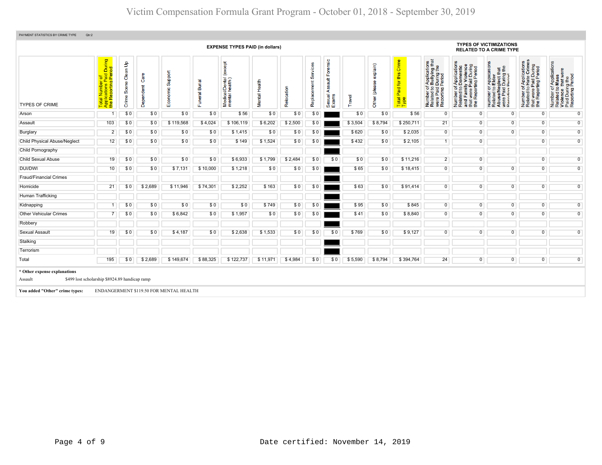| PAYMENT STATISTICS BY CRIME TYPE<br>Qtr:2                                                                  |                                                                                                        |                                         |                   |                                         |                |                                              |               |            |                                |                                                          |         |                           |                                   |                                                                                                                                   |                                                                                                                                                                         |                                                                                                                                                          |                                                                                                                      |                                                                                                        |
|------------------------------------------------------------------------------------------------------------|--------------------------------------------------------------------------------------------------------|-----------------------------------------|-------------------|-----------------------------------------|----------------|----------------------------------------------|---------------|------------|--------------------------------|----------------------------------------------------------|---------|---------------------------|-----------------------------------|-----------------------------------------------------------------------------------------------------------------------------------|-------------------------------------------------------------------------------------------------------------------------------------------------------------------------|----------------------------------------------------------------------------------------------------------------------------------------------------------|----------------------------------------------------------------------------------------------------------------------|--------------------------------------------------------------------------------------------------------|
| <b>TYPES OF VICTIMIZATIONS</b><br><b>EXPENSE TYPES PAID (in dollars)</b><br><b>RELATED TO A CRIME TYPE</b> |                                                                                                        |                                         |                   |                                         |                |                                              |               |            |                                |                                                          |         |                           |                                   |                                                                                                                                   |                                                                                                                                                                         |                                                                                                                                                          |                                                                                                                      |                                                                                                        |
| <b>TYPES OF CRIME</b>                                                                                      | During<br>riod<br>b ald<br><b>D</b><br>Deri<br>al Number<br>blications P<br>Reporting I<br><b>Pape</b> | $\mathbf{e}$<br>Clean<br>Scene<br>Crime | Care<br>Dependent | Support<br>Economic                     | Funeral Burial | except<br>Medical/Dental (<br>mental health) | Mental Health | Relocation | vices<br>န္တ<br>だ<br>Replaceme | Forensic<br>$\frac{4}{3}$<br>တ္တ<br>⋖<br>Sexual<br>Exams | Travel  | explain)<br>Other (please | Total Paid for this Crime<br>Type | f Applications<br>b Bullying that<br>I During the<br>Period<br>$rac{1}{2}$<br>Number of<br>Related to<br>were Paid<br>Reporting I | f Applications<br>Domestic<br>ly Violence<br>d During<br>Period<br>ă<br>time<br>Number of A<br>Related to D <sub>r</sub><br>and Family<br>that were Pa<br>the Reporting | r Applications<br>b Elder<br>eglect that<br>₽<br>During<br>Pariod<br>er or<br>ad <b>S</b><br>and Bar<br>fina<br>Number<br>Related<br>Abuse/N<br>உ<br>9 a | Applications<br>Hate Crimes<br>were Paid During<br>Reporting Period<br>$\frac{1}{2}$<br>Number<br>Related<br>te<br># | Number of Applications<br>Related to Mass<br>Violence that were<br>Paid During the<br>Reporting Period |
| Arson                                                                                                      |                                                                                                        | \$0                                     | \$0               | \$0                                     | \$0            | \$56                                         | \$0           | \$0        | \$0                            |                                                          | \$0     | \$0                       | \$56                              | $\overline{0}$                                                                                                                    | $\overline{0}$                                                                                                                                                          | $\overline{0}$                                                                                                                                           | $\overline{0}$                                                                                                       | $\overline{0}$                                                                                         |
| Assault                                                                                                    | 103                                                                                                    | \$0                                     | \$0               | \$119,568                               | \$4,024        | \$106,119                                    | \$6,202       | \$2,500    | \$0                            |                                                          | \$3,504 | \$8,794                   | \$250,711                         | 21                                                                                                                                | $\overline{0}$                                                                                                                                                          | $\overline{0}$                                                                                                                                           | $\overline{0}$                                                                                                       | $\overline{0}$                                                                                         |
| Burglary                                                                                                   | $\overline{2}$                                                                                         | \$0                                     | \$0               | \$0                                     | \$0            | \$1,415                                      | \$0           | \$0        | \$0                            |                                                          | \$620   | \$0                       | \$2,035                           | $\overline{0}$                                                                                                                    | $\overline{0}$                                                                                                                                                          | $\overline{0}$                                                                                                                                           | $\overline{0}$                                                                                                       | $\overline{0}$                                                                                         |
| <b>Child Physical Abuse/Neglect</b>                                                                        | 12                                                                                                     | \$0                                     | \$0               | \$0                                     | \$0            | \$149                                        | \$1,524       | \$0        | \$0                            |                                                          | \$432   | \$0                       | \$2,105                           | $\overline{1}$                                                                                                                    | $\overline{0}$                                                                                                                                                          |                                                                                                                                                          | $\overline{0}$                                                                                                       | $\overline{0}$                                                                                         |
| Child Pornography                                                                                          |                                                                                                        |                                         |                   |                                         |                |                                              |               |            |                                |                                                          |         |                           |                                   |                                                                                                                                   |                                                                                                                                                                         |                                                                                                                                                          |                                                                                                                      |                                                                                                        |
| <b>Child Sexual Abuse</b>                                                                                  | 19                                                                                                     | \$0                                     | \$0               | \$0                                     | \$0            | \$6,933                                      | \$1,799       | \$2,484    | \$0                            | \$0                                                      | \$0     | \$0                       | \$11,216                          | $\overline{2}$                                                                                                                    | $\overline{0}$                                                                                                                                                          |                                                                                                                                                          | $\overline{0}$                                                                                                       | $\overline{0}$                                                                                         |
| <b>DUI/DWI</b>                                                                                             | 10                                                                                                     | \$0                                     | \$0               | \$7,131                                 | \$10,000       | \$1,218                                      | \$0           | \$0        | \$0                            |                                                          | \$65    | \$0                       | \$18,415                          | $\overline{0}$                                                                                                                    | $\overline{0}$                                                                                                                                                          | $\overline{0}$                                                                                                                                           | $\overline{0}$                                                                                                       | $\overline{0}$                                                                                         |
| <b>Fraud/Financial Crimes</b>                                                                              |                                                                                                        |                                         |                   |                                         |                |                                              |               |            |                                |                                                          |         |                           |                                   |                                                                                                                                   |                                                                                                                                                                         |                                                                                                                                                          |                                                                                                                      |                                                                                                        |
| Homicide                                                                                                   | 21                                                                                                     | \$0                                     | \$2,689           | \$11,946                                | \$74,301       | \$2,252                                      | \$163         | \$0        | \$0                            |                                                          | \$63    | \$0                       | \$91,414                          | $\overline{0}$                                                                                                                    | $\overline{0}$                                                                                                                                                          | $\overline{0}$                                                                                                                                           | $\overline{0}$                                                                                                       | $\overline{0}$                                                                                         |
| Human Trafficking                                                                                          |                                                                                                        |                                         |                   |                                         |                |                                              |               |            |                                |                                                          |         |                           |                                   |                                                                                                                                   |                                                                                                                                                                         |                                                                                                                                                          |                                                                                                                      |                                                                                                        |
| Kidnapping                                                                                                 |                                                                                                        | \$0                                     | \$0               | \$0                                     | \$0            | \$0                                          | \$749         | \$0        | \$0                            |                                                          | \$95    | \$0                       | \$845                             | $\overline{0}$                                                                                                                    | $\overline{0}$                                                                                                                                                          | $\overline{0}$                                                                                                                                           | $\overline{0}$                                                                                                       | $\overline{0}$                                                                                         |
| <b>Other Vehicular Crimes</b>                                                                              |                                                                                                        | \$0                                     | \$0               | \$6,842                                 | \$0            | \$1,957                                      | \$0           | \$0        | \$0                            |                                                          | \$41    | \$0                       | \$8,840                           | $\overline{0}$                                                                                                                    | $\overline{0}$                                                                                                                                                          | $\overline{0}$                                                                                                                                           | $\overline{0}$                                                                                                       | $\overline{0}$                                                                                         |
| Robbery                                                                                                    |                                                                                                        |                                         |                   |                                         |                |                                              |               |            |                                |                                                          |         |                           |                                   |                                                                                                                                   |                                                                                                                                                                         |                                                                                                                                                          |                                                                                                                      |                                                                                                        |
| Sexual Assault                                                                                             | 19                                                                                                     | \$0                                     | \$0               | \$4,187                                 | \$0            | \$2,638                                      | \$1,533       | \$0        | \$0                            | \$0                                                      | \$769   | \$0                       | \$9,127                           | $\overline{0}$                                                                                                                    | $\overline{0}$                                                                                                                                                          | $\overline{0}$                                                                                                                                           | $\overline{0}$                                                                                                       | $\overline{0}$                                                                                         |
| Stalking                                                                                                   |                                                                                                        |                                         |                   |                                         |                |                                              |               |            |                                |                                                          |         |                           |                                   |                                                                                                                                   |                                                                                                                                                                         |                                                                                                                                                          |                                                                                                                      |                                                                                                        |
| Terrorism                                                                                                  |                                                                                                        |                                         |                   |                                         |                |                                              |               |            |                                |                                                          |         |                           |                                   |                                                                                                                                   |                                                                                                                                                                         |                                                                                                                                                          |                                                                                                                      |                                                                                                        |
| Total                                                                                                      | 195                                                                                                    | \$0                                     | \$2,689           | \$149,674                               | \$88,325       | \$122,737                                    | \$11,971      | \$4,984    | \$0                            | \$0                                                      | \$5,590 | \$8,794                   | \$394,764                         | 24                                                                                                                                | $\overline{0}$                                                                                                                                                          | $\overline{0}$                                                                                                                                           | $\overline{0}$                                                                                                       | $\overline{0}$                                                                                         |
| * Other expense explanations<br>Assault                                                                    | \$499 lost scholarship \$8924.89 handicap ramp                                                         |                                         |                   |                                         |                |                                              |               |            |                                |                                                          |         |                           |                                   |                                                                                                                                   |                                                                                                                                                                         |                                                                                                                                                          |                                                                                                                      |                                                                                                        |
| You added "Other" crime types:                                                                             |                                                                                                        |                                         |                   | ENDANGERMENT \$119.50 FOR MENTAL HEALTH |                |                                              |               |            |                                |                                                          |         |                           |                                   |                                                                                                                                   |                                                                                                                                                                         |                                                                                                                                                          |                                                                                                                      |                                                                                                        |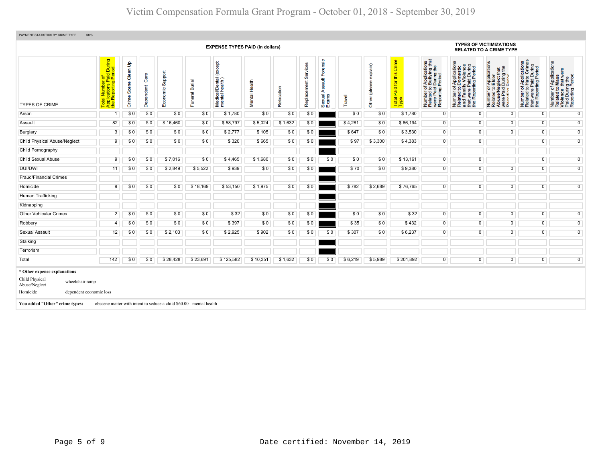| PAYMENT STATISTICS BY CRIME TYPE<br>Qtr:3                                                                                                                                                                                                                                                                                                                                                                                                                                                                                                                                                                                                                                                                                                                                                                                                                                                                                                                                                                                                                                                                                                                                                                                                                                                                                                                                          |                |     |     |                                                                      |          |           |          |         |     |     |         |         |           |                |                                                       |                                                                                                                                 |                |                |
|------------------------------------------------------------------------------------------------------------------------------------------------------------------------------------------------------------------------------------------------------------------------------------------------------------------------------------------------------------------------------------------------------------------------------------------------------------------------------------------------------------------------------------------------------------------------------------------------------------------------------------------------------------------------------------------------------------------------------------------------------------------------------------------------------------------------------------------------------------------------------------------------------------------------------------------------------------------------------------------------------------------------------------------------------------------------------------------------------------------------------------------------------------------------------------------------------------------------------------------------------------------------------------------------------------------------------------------------------------------------------------|----------------|-----|-----|----------------------------------------------------------------------|----------|-----------|----------|---------|-----|-----|---------|---------|-----------|----------------|-------------------------------------------------------|---------------------------------------------------------------------------------------------------------------------------------|----------------|----------------|
| <b>TYPES OF VICTIMIZATIONS</b><br><b>EXPENSE TYPES PAID (in dollars)</b><br><b>RELATED TO A CRIME TYPE</b>                                                                                                                                                                                                                                                                                                                                                                                                                                                                                                                                                                                                                                                                                                                                                                                                                                                                                                                                                                                                                                                                                                                                                                                                                                                                         |                |     |     |                                                                      |          |           |          |         |     |     |         |         |           |                |                                                       |                                                                                                                                 |                |                |
| During<br>iod<br>Forensic<br>Crime<br>f Applications<br>b Bullying that<br>I During the<br>Period<br>Applications<br>Hate Crimes<br>$\mathbf{e}$<br><b>bept</b><br>r Applications<br>Elder<br>f Applications<br>o Domestic<br>ly Violence<br>vices<br>explain)<br>Paid During<br>ting Period<br>₽<br>that<br>Clean <sup>I</sup><br>$\omega$<br>i <mark>rof</mark><br>Paid<br>g Peri<br>glect th<br>During<br>Period<br>Care<br>Suppor<br>မြိ<br>窑<br>i/Dental<br>health)<br>$\frac{4}{10}$<br>Funeral Burial<br>al Number o<br>plications Pa<br>Reporting F<br>Other (please<br>Health<br>Ħ<br><b>i</b> or<br>Scene<br>mily<br>Replaceme<br>Dependent<br>g<br>$\frac{1}{2}$<br>$\overline{5}$ $\overline{2}$<br>ber of<br>ted to I<br>Paid I<br>nting F<br>er of<br>ed to I<br>Paid<br>Paid<br>Paid <sup>-</sup><br>Relocation<br>$\frac{1}{2}$<br>twere<br>Repor<br>⋖<br>Number<br>Related<br>and Fam<br>Number<br>Related<br>were Pai<br>Reportin<br>Number<br>Related<br>Number<br>Related<br>Abuse/N<br>ž<br>Medical<br>mental<br>Mental<br>Sexual<br>Exams<br>Travel<br>Crime<br>Total<br>Type<br>உ<br>$\overline{\mathfrak{a}}$<br>thel<br><b>E</b> g<br>ಕ ಕ<br>$\alpha$<br><b>TYPES OF CRIME</b><br>ш<br>\$0<br>\$0<br>\$1,780<br>\$0<br>\$0<br>\$1,780<br>$\overline{0}$<br>\$0<br>\$0<br>\$0<br>\$0<br>\$0<br>$\overline{0}$<br>$\overline{0}$<br>Arson<br>$\overline{1}$ |                |     |     |                                                                      |          |           |          |         |     |     |         |         |           |                | it were Paid During<br>Beporting Period<br>the<br>the | f Applications<br>Mass<br>Number of Application<br>Related to Mass<br>Violence that were<br>Paid During the<br>Reporting Period |                |                |
|                                                                                                                                                                                                                                                                                                                                                                                                                                                                                                                                                                                                                                                                                                                                                                                                                                                                                                                                                                                                                                                                                                                                                                                                                                                                                                                                                                                    |                |     |     |                                                                      |          |           |          |         |     |     |         |         |           |                |                                                       |                                                                                                                                 | $\mathbf 0$    | $\overline{0}$ |
| Assault                                                                                                                                                                                                                                                                                                                                                                                                                                                                                                                                                                                                                                                                                                                                                                                                                                                                                                                                                                                                                                                                                                                                                                                                                                                                                                                                                                            | 82             | \$0 | \$0 | \$16,460                                                             | \$0      | \$58,797  | \$5,024  | \$1,632 | \$0 |     | \$4,281 | \$0     | \$86,194  | $\overline{0}$ | $\overline{0}$                                        | $\overline{0}$                                                                                                                  | $\overline{0}$ | $\overline{0}$ |
| Burglary                                                                                                                                                                                                                                                                                                                                                                                                                                                                                                                                                                                                                                                                                                                                                                                                                                                                                                                                                                                                                                                                                                                                                                                                                                                                                                                                                                           | $\overline{3}$ | \$0 | \$0 | \$0                                                                  | \$0      | \$2,777   | \$105    | \$0     | \$0 |     | \$647   | \$0     | \$3,530   | $\overline{0}$ | $\overline{0}$                                        | $\overline{0}$                                                                                                                  | $\overline{0}$ | $\overline{0}$ |
| <b>Child Physical Abuse/Neglect</b>                                                                                                                                                                                                                                                                                                                                                                                                                                                                                                                                                                                                                                                                                                                                                                                                                                                                                                                                                                                                                                                                                                                                                                                                                                                                                                                                                | 9              | \$0 | \$0 | \$0                                                                  | \$0      | \$320     | \$665    | \$0     | \$0 |     | \$97    | \$3,300 | \$4,383   | $\overline{0}$ | $\overline{0}$                                        |                                                                                                                                 | $\mathbf 0$    | $\overline{0}$ |
| Child Pornography                                                                                                                                                                                                                                                                                                                                                                                                                                                                                                                                                                                                                                                                                                                                                                                                                                                                                                                                                                                                                                                                                                                                                                                                                                                                                                                                                                  |                |     |     |                                                                      |          |           |          |         |     |     |         |         |           |                |                                                       |                                                                                                                                 |                |                |
| Child Sexual Abuse                                                                                                                                                                                                                                                                                                                                                                                                                                                                                                                                                                                                                                                                                                                                                                                                                                                                                                                                                                                                                                                                                                                                                                                                                                                                                                                                                                 | 9              | \$0 | \$0 | \$7,016                                                              | \$0      | \$4,465   | \$1,680  | \$0     | \$0 | \$0 | \$0     | \$0     | \$13,161  | $\overline{0}$ | $\overline{0}$                                        |                                                                                                                                 | $\overline{0}$ | $\overline{0}$ |
| <b>DUI/DWI</b>                                                                                                                                                                                                                                                                                                                                                                                                                                                                                                                                                                                                                                                                                                                                                                                                                                                                                                                                                                                                                                                                                                                                                                                                                                                                                                                                                                     | 11             | \$0 | \$0 | \$2,849                                                              | \$5,522  | \$939     | \$0      | \$0     | \$0 |     | \$70    | \$0     | \$9,380   | $\overline{0}$ | $\overline{0}$                                        | $\overline{0}$                                                                                                                  | $\overline{0}$ | $\overline{0}$ |
| <b>Fraud/Financial Crimes</b>                                                                                                                                                                                                                                                                                                                                                                                                                                                                                                                                                                                                                                                                                                                                                                                                                                                                                                                                                                                                                                                                                                                                                                                                                                                                                                                                                      |                |     |     |                                                                      |          |           |          |         |     |     |         |         |           |                |                                                       |                                                                                                                                 |                |                |
| Homicide                                                                                                                                                                                                                                                                                                                                                                                                                                                                                                                                                                                                                                                                                                                                                                                                                                                                                                                                                                                                                                                                                                                                                                                                                                                                                                                                                                           | 9              | \$0 | \$0 | \$0                                                                  | \$18,169 | \$53,150  | \$1,975  | \$0     | \$0 |     | \$782   | \$2,689 | \$76,765  | $\overline{0}$ | $\overline{0}$                                        | $\overline{0}$                                                                                                                  | $\overline{0}$ | $\overline{0}$ |
| Human Trafficking                                                                                                                                                                                                                                                                                                                                                                                                                                                                                                                                                                                                                                                                                                                                                                                                                                                                                                                                                                                                                                                                                                                                                                                                                                                                                                                                                                  |                |     |     |                                                                      |          |           |          |         |     |     |         |         |           |                |                                                       |                                                                                                                                 |                |                |
| Kidnapping                                                                                                                                                                                                                                                                                                                                                                                                                                                                                                                                                                                                                                                                                                                                                                                                                                                                                                                                                                                                                                                                                                                                                                                                                                                                                                                                                                         |                |     |     |                                                                      |          |           |          |         |     |     |         |         |           |                |                                                       |                                                                                                                                 |                |                |
| <b>Other Vehicular Crimes</b>                                                                                                                                                                                                                                                                                                                                                                                                                                                                                                                                                                                                                                                                                                                                                                                                                                                                                                                                                                                                                                                                                                                                                                                                                                                                                                                                                      | $\overline{2}$ | SO. | \$0 | \$0                                                                  | \$0      | \$32      | \$0      | \$0     | \$0 |     | \$0     | \$0     | \$32      | $\overline{0}$ | $\overline{0}$                                        | $\overline{0}$                                                                                                                  | $\overline{0}$ | $\overline{0}$ |
| Robbery                                                                                                                                                                                                                                                                                                                                                                                                                                                                                                                                                                                                                                                                                                                                                                                                                                                                                                                                                                                                                                                                                                                                                                                                                                                                                                                                                                            | $\overline{4}$ | \$0 | \$0 | \$0                                                                  | \$0      | \$397     | \$0      | \$0     | \$0 |     | \$35    | \$0     | \$432     | $\overline{0}$ | $\overline{0}$                                        | $\overline{0}$                                                                                                                  | $\overline{0}$ | $\overline{0}$ |
| Sexual Assault                                                                                                                                                                                                                                                                                                                                                                                                                                                                                                                                                                                                                                                                                                                                                                                                                                                                                                                                                                                                                                                                                                                                                                                                                                                                                                                                                                     | 12             | \$0 | \$0 | \$2,103                                                              | \$0      | \$2,925   | \$902    | \$0     | \$0 | \$0 | \$307   | \$0     | \$6,237   | $\overline{0}$ | $\overline{0}$                                        | $\overline{0}$                                                                                                                  | $\overline{0}$ | $\overline{0}$ |
| Stalking                                                                                                                                                                                                                                                                                                                                                                                                                                                                                                                                                                                                                                                                                                                                                                                                                                                                                                                                                                                                                                                                                                                                                                                                                                                                                                                                                                           |                |     |     |                                                                      |          |           |          |         |     |     |         |         |           |                |                                                       |                                                                                                                                 |                |                |
| Terrorism                                                                                                                                                                                                                                                                                                                                                                                                                                                                                                                                                                                                                                                                                                                                                                                                                                                                                                                                                                                                                                                                                                                                                                                                                                                                                                                                                                          |                |     |     |                                                                      |          |           |          |         |     |     |         |         |           |                |                                                       |                                                                                                                                 |                |                |
| Total                                                                                                                                                                                                                                                                                                                                                                                                                                                                                                                                                                                                                                                                                                                                                                                                                                                                                                                                                                                                                                                                                                                                                                                                                                                                                                                                                                              | 142            | \$0 | \$0 | \$28,428                                                             | \$23,691 | \$125,582 | \$10,351 | \$1,632 | \$0 | \$0 | \$6,219 | \$5,989 | \$201,892 | $\overline{0}$ | $\overline{0}$                                        | $\mathsf 0$                                                                                                                     | $\overline{0}$ | $\overline{0}$ |
| * Other expense explanations<br>Child Physical<br>wheelchair ramp<br>Abuse/Neglect<br>Homicide<br>dependent economic loss<br>You added "Other" crime types:                                                                                                                                                                                                                                                                                                                                                                                                                                                                                                                                                                                                                                                                                                                                                                                                                                                                                                                                                                                                                                                                                                                                                                                                                        |                |     |     | obscene matter with intent to seduce a child \$60.00 - mental health |          |           |          |         |     |     |         |         |           |                |                                                       |                                                                                                                                 |                |                |
|                                                                                                                                                                                                                                                                                                                                                                                                                                                                                                                                                                                                                                                                                                                                                                                                                                                                                                                                                                                                                                                                                                                                                                                                                                                                                                                                                                                    |                |     |     |                                                                      |          |           |          |         |     |     |         |         |           |                |                                                       |                                                                                                                                 |                |                |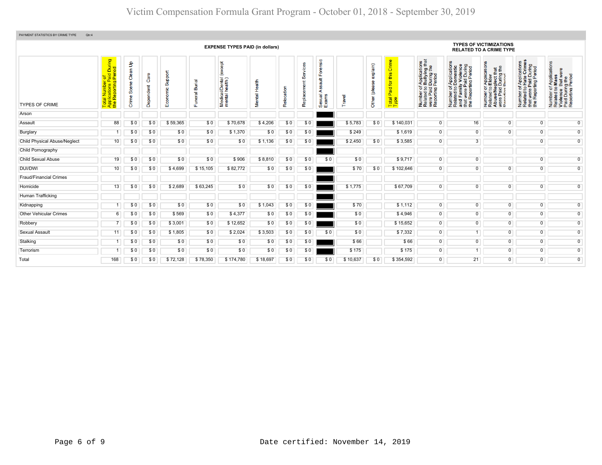| PAYMENT STATISTICS BY CRIME TYPE<br>Qtr:4 |                                                                                             |                                         |                              |                          |                                |                                                                |                  |                      |                         |                                                |          |                               |                                         |                                                                                                                                    |                                                                                                                       |                                                                                                                                                                                  |                                                                                                                      |                                                                                                        |  |  |  |  |  |  |
|-------------------------------------------|---------------------------------------------------------------------------------------------|-----------------------------------------|------------------------------|--------------------------|--------------------------------|----------------------------------------------------------------|------------------|----------------------|-------------------------|------------------------------------------------|----------|-------------------------------|-----------------------------------------|------------------------------------------------------------------------------------------------------------------------------------|-----------------------------------------------------------------------------------------------------------------------|----------------------------------------------------------------------------------------------------------------------------------------------------------------------------------|----------------------------------------------------------------------------------------------------------------------|--------------------------------------------------------------------------------------------------------|--|--|--|--|--|--|
|                                           | <b>EXPENSE TYPES PAID (in dollars)</b>                                                      |                                         |                              |                          |                                |                                                                |                  |                      |                         |                                                |          |                               |                                         |                                                                                                                                    |                                                                                                                       | <b>TYPES OF VICTIMIZATIONS</b><br><b>RELATED TO A CRIME TYPE</b>                                                                                                                 |                                                                                                                      |                                                                                                        |  |  |  |  |  |  |
| <b>TYPES OF CRIME</b>                     | During<br>iod<br>Total Number of<br>Applications Paid <mark>I</mark><br>the Reporting Peric | $\mathbf{e}$<br>Clean<br>Scene<br>Crime | Φ<br>င်္စ<br>ndent<br>ō<br>த | Support<br>conomic<br>шī | ᠊ᢛ<br>j<br>Buri<br>ishem;<br>ш | <b>bept</b><br>Č<br>i/Dental<br>health)<br>Medical<br>mental l | Health<br>Mental | ៜ<br>i∎<br>8<br>Relo | Ũ.<br>Ħ<br>Φ<br>Replace | orensic<br>ш<br>ã<br>∢<br>exual<br><b>SO W</b> | Travel   | explain)<br><u>ë</u><br>Other | this Crime<br>Paid for<br>Total<br>Type | f Applications<br>b Bullying that<br>During the<br>Period<br>Number of <i>I</i><br>Related to <b>I</b><br>were Paid<br>Reporting F | Number of Applications<br>Related to Domestic<br>and Family Violence<br>that were Paid During<br>the Reporting Period | n Applications<br>b Elder<br>eglect that<br>I During the<br>Period<br>imper of<br>lated to I<br>suse/Neg<br>re Paid L<br>Number<br>Related t<br>Abuse/N<br>Were Pai<br>Reconting | f Applications<br>Hate Crimes<br>were Paid During<br>Reporting Period<br>$\frac{1}{6}$<br>Number<br>Related<br>the I | Number of Applications<br>Related to Mass<br>Violence that were<br>Paid During the<br>Reporting Period |  |  |  |  |  |  |
| Arson                                     |                                                                                             |                                         |                              |                          |                                |                                                                |                  |                      |                         |                                                |          |                               |                                         |                                                                                                                                    |                                                                                                                       |                                                                                                                                                                                  |                                                                                                                      |                                                                                                        |  |  |  |  |  |  |
| Assault                                   | 88                                                                                          | \$0                                     | \$0                          | \$59,365                 | \$0                            | \$70,678                                                       | \$4,206          | \$0                  | \$0                     |                                                | \$5,783  | \$0                           | \$140,031                               | $\overline{0}$                                                                                                                     | 16                                                                                                                    | $\overline{0}$                                                                                                                                                                   | $\overline{0}$                                                                                                       | $\overline{0}$                                                                                         |  |  |  |  |  |  |
| Burglary                                  | 1                                                                                           | \$0                                     | \$0                          | \$0                      | \$0                            | \$1,370                                                        | \$0              | \$0                  | \$0                     |                                                | \$249    |                               | \$1,619                                 | $\mathbf{0}$                                                                                                                       | $\overline{0}$                                                                                                        | $\overline{0}$                                                                                                                                                                   | $\overline{0}$                                                                                                       | $\overline{0}$                                                                                         |  |  |  |  |  |  |
| <b>Child Physical Abuse/Neglect</b>       | 10 <sup>°</sup>                                                                             | \$0                                     | \$0                          | \$0                      | \$0                            | \$0                                                            | \$1,136          | \$0                  | \$0                     |                                                | \$2,450  | \$0                           | \$3,585                                 | $\overline{0}$                                                                                                                     | 3                                                                                                                     |                                                                                                                                                                                  | $\overline{0}$                                                                                                       | $\overline{0}$                                                                                         |  |  |  |  |  |  |
| Child Pornography                         |                                                                                             |                                         |                              |                          |                                |                                                                |                  |                      |                         |                                                |          |                               |                                         |                                                                                                                                    |                                                                                                                       |                                                                                                                                                                                  |                                                                                                                      |                                                                                                        |  |  |  |  |  |  |
| Child Sexual Abuse                        | 19                                                                                          | SO.                                     | \$0                          | \$0                      | \$0                            | \$906                                                          | \$8,810          | \$0                  | \$0                     | \$0                                            | \$0      |                               | \$9,717                                 | $\overline{0}$                                                                                                                     | $\overline{0}$                                                                                                        |                                                                                                                                                                                  | $\overline{0}$                                                                                                       | $\overline{0}$                                                                                         |  |  |  |  |  |  |
| <b>DUI/DWI</b>                            | 10 <sup>1</sup>                                                                             | \$0                                     | \$0                          | \$4,699                  | \$15,105                       | \$82,772                                                       | \$0              | \$0                  | \$0                     |                                                | \$70     | \$0                           | \$102,646                               | $\mathbf 0$                                                                                                                        | $\mathbf 0$                                                                                                           | $\overline{0}$                                                                                                                                                                   | $\overline{0}$                                                                                                       | $\overline{0}$                                                                                         |  |  |  |  |  |  |
| <b>Fraud/Financial Crimes</b>             |                                                                                             |                                         |                              |                          |                                |                                                                |                  |                      |                         |                                                |          |                               |                                         |                                                                                                                                    |                                                                                                                       |                                                                                                                                                                                  |                                                                                                                      |                                                                                                        |  |  |  |  |  |  |
| Homicide                                  | 13                                                                                          | \$0                                     | \$0                          | \$2,689                  | \$63,245                       | \$0                                                            | \$0              | \$0                  | \$0                     |                                                | \$1,775  |                               | \$67,709                                | $\overline{0}$                                                                                                                     | $\overline{0}$                                                                                                        | $\overline{0}$                                                                                                                                                                   | $\overline{0}$                                                                                                       | $\overline{0}$                                                                                         |  |  |  |  |  |  |
| Human Trafficking                         |                                                                                             |                                         |                              |                          |                                |                                                                |                  |                      |                         |                                                |          |                               |                                         |                                                                                                                                    |                                                                                                                       |                                                                                                                                                                                  |                                                                                                                      |                                                                                                        |  |  |  |  |  |  |
| Kidnapping                                |                                                                                             | SO.                                     | \$0                          | \$0                      | \$0                            | \$0                                                            | \$1,043          | \$0                  | \$0                     |                                                | \$70     |                               | \$1,112                                 | $\overline{0}$                                                                                                                     | $\overline{0}$                                                                                                        | $\overline{0}$                                                                                                                                                                   | $\overline{0}$                                                                                                       | $\overline{0}$                                                                                         |  |  |  |  |  |  |
| <b>Other Vehicular Crimes</b>             | 6                                                                                           | SO.                                     | \$0                          | \$569                    | \$0                            | \$4,377                                                        | \$0              | \$0                  | \$0                     |                                                | \$0      |                               | \$4,946                                 | $\mathbf{0}$                                                                                                                       | $\overline{0}$                                                                                                        | $\overline{0}$                                                                                                                                                                   | $\overline{0}$                                                                                                       | $\overline{0}$                                                                                         |  |  |  |  |  |  |
| Robbery                                   |                                                                                             | SO.                                     | \$0                          | \$3,001                  | \$0                            | \$12,652                                                       | \$0              | \$0                  | \$0                     |                                                | \$0      |                               | \$15,652                                | $\mathbf 0$                                                                                                                        | $\overline{0}$                                                                                                        | $\overline{0}$                                                                                                                                                                   | $\overline{0}$                                                                                                       | $\overline{0}$                                                                                         |  |  |  |  |  |  |
| Sexual Assault                            | 11                                                                                          | \$0                                     | \$0                          | \$1,805                  | \$0                            | \$2,024                                                        | \$3,503          | \$0                  | \$0                     | \$0                                            | \$0      |                               | \$7,332                                 | $\mathbf{0}$                                                                                                                       |                                                                                                                       | $\overline{0}$                                                                                                                                                                   | $\overline{0}$                                                                                                       | $\overline{0}$                                                                                         |  |  |  |  |  |  |
| Stalking                                  | 1                                                                                           | \$0                                     | \$0                          | \$0                      | \$0                            | \$0                                                            | \$0              | \$0                  | \$0                     |                                                | \$66     |                               | \$66                                    | $\overline{0}$                                                                                                                     | $\overline{0}$                                                                                                        | $\overline{0}$                                                                                                                                                                   | $\overline{0}$                                                                                                       | $\overline{0}$                                                                                         |  |  |  |  |  |  |
| Terrorism                                 |                                                                                             | \$0                                     | \$0                          | \$0                      | \$0                            | \$0                                                            | \$0              | \$0                  | \$0                     |                                                | \$175    |                               | \$175                                   | $\mathbf 0$                                                                                                                        |                                                                                                                       | $\overline{0}$                                                                                                                                                                   | $\overline{0}$                                                                                                       | $\overline{0}$                                                                                         |  |  |  |  |  |  |
| Total                                     | 168                                                                                         | \$0                                     | \$0                          | \$72,128                 | \$78,350                       | \$174,780                                                      | \$18,697         | \$0                  | \$0                     | \$0                                            | \$10,637 | \$0                           | \$354,592                               | $\overline{0}$                                                                                                                     | 21                                                                                                                    | $\overline{0}$                                                                                                                                                                   | $\overline{0}$                                                                                                       | $\overline{0}$                                                                                         |  |  |  |  |  |  |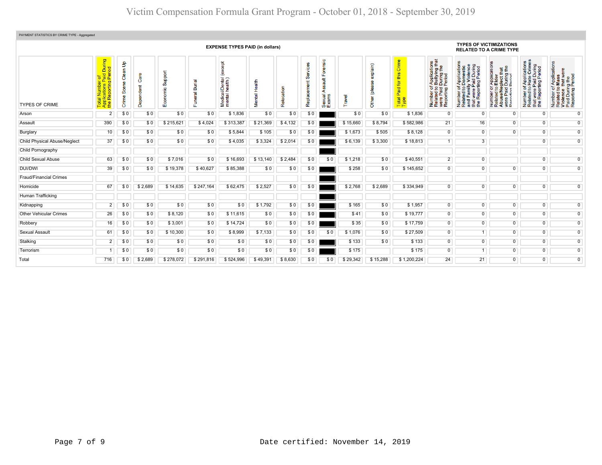| PAYMENT STATISTICS BY CRIME TYPE - Aggregated<br><b>TYPES OF VICTIMIZATIONS</b> |                                                                 |                               |                     |                         |                                 |                                                    |                      |           |                      |                                  |          |                           |                                            |                                                                                                                                                               |                                                                                                                                                                          |                                                                                                                                       |                                                                                                                     |                                                                                                                                  |
|---------------------------------------------------------------------------------|-----------------------------------------------------------------|-------------------------------|---------------------|-------------------------|---------------------------------|----------------------------------------------------|----------------------|-----------|----------------------|----------------------------------|----------|---------------------------|--------------------------------------------|---------------------------------------------------------------------------------------------------------------------------------------------------------------|--------------------------------------------------------------------------------------------------------------------------------------------------------------------------|---------------------------------------------------------------------------------------------------------------------------------------|---------------------------------------------------------------------------------------------------------------------|----------------------------------------------------------------------------------------------------------------------------------|
|                                                                                 | <b>EXPENSE TYPES PAID (in dollars)</b>                          |                               |                     |                         |                                 |                                                    |                      |           |                      |                                  |          |                           |                                            |                                                                                                                                                               |                                                                                                                                                                          | <b>RELATED TO A CRIME TYPE</b>                                                                                                        |                                                                                                                     |                                                                                                                                  |
| <b>TYPES OF CRIME</b>                                                           | During<br>iod<br>ø<br><b>P</b> er<br>ting<br>Report<br>the<br>ಕ | နှ<br>Clean<br>Scene<br>Crime | Care<br>ndent<br>ട് | Support<br>conomic<br>ш | ᠊ᢛ<br>$\overline{\mathfrak{m}}$ | except<br>i/Dental<br>health)<br>Medical<br>mental | Health<br>ental<br>š | elocation | Ø<br>Ĕ<br>Replacemer | Forensic<br>ã<br>Sexual<br>Exams | Travel   | exp(ain)<br>Other (please | Crime<br>this<br>Paid for<br>Total<br>Type | ications<br>/ing that<br>g the<br><b>During</b><br>Period<br>Applie<br>Bully<br>Number of,<br>Related to I<br>were Paid I<br>Reporting F<br>Number<br>Related | f Applications<br>Domestic<br>ly Violence<br>Paid During<br>rting Period<br>ㅎ<br>$\mathbf{e}$<br>Number of<br>Related to<br>and Famil<br>t were<br>and<br>E <sup>e</sup> | ration<br>ia #<br>Paplica<br>Elder<br>glect th<br>During<br>Period<br>한 모 호 프<br>Number<br>Related<br>Abuse/N<br>were Pai<br>$\omega$ | Applications<br>Hate Crimes<br>that were Paid During<br>the Reporting Period<br>5 <sub>0</sub><br>Number<br>Related | f Applications<br>Mass<br>Number of Applicati<br>Related to Mass<br>Violence that were<br>Paid During Period<br>Reporting Period |
| Arson                                                                           | $\overline{2}$                                                  | \$0                           | \$0                 | \$0                     | \$0                             | \$1,836                                            | \$0                  | \$0       | \$0                  |                                  | \$0      | \$0                       | \$1,836                                    | $\mathbf 0$                                                                                                                                                   | $\mathbf 0$                                                                                                                                                              | $\overline{0}$                                                                                                                        | $\overline{0}$                                                                                                      | $\overline{0}$                                                                                                                   |
| Assault                                                                         | 390                                                             | \$0                           | \$0                 | \$215,621               | \$4,024                         | \$313,387                                          | \$21,369             | \$4,132   | \$0                  |                                  | \$15,660 | \$8,794                   | \$582,986                                  | 21                                                                                                                                                            | 16                                                                                                                                                                       | $\overline{0}$                                                                                                                        | $\overline{0}$                                                                                                      | $\overline{0}$                                                                                                                   |
| Burglary                                                                        | 10 <sup>°</sup>                                                 | \$0                           | \$0                 | \$0                     | \$0                             | \$5,844                                            | \$105                | \$0       | \$0                  |                                  | \$1,673  | \$505                     | \$8,128                                    | $\overline{0}$                                                                                                                                                | $\overline{0}$                                                                                                                                                           | $\overline{0}$                                                                                                                        | $\overline{0}$                                                                                                      | $\overline{0}$                                                                                                                   |
| <b>Child Physical Abuse/Neglect</b>                                             | 37                                                              | \$0                           | \$0                 | \$0                     | \$0                             | \$4,035                                            | \$3,324              | \$2,014   | \$0                  |                                  | \$6,139  | \$3,300                   | \$18,813                                   | 1                                                                                                                                                             | 3                                                                                                                                                                        |                                                                                                                                       | $\overline{0}$                                                                                                      | $\overline{0}$                                                                                                                   |
| Child Pornography                                                               |                                                                 |                               |                     |                         |                                 |                                                    |                      |           |                      |                                  |          |                           |                                            |                                                                                                                                                               |                                                                                                                                                                          |                                                                                                                                       |                                                                                                                     |                                                                                                                                  |
| <b>Child Sexual Abuse</b>                                                       | 63                                                              | \$0                           | \$0                 | \$7,016                 | \$0                             | \$16.693                                           | \$13,140             | \$2,484   | \$0                  | \$0                              | \$1,218  | \$0                       | \$40.551                                   | 2 <sup>1</sup>                                                                                                                                                | $\overline{0}$                                                                                                                                                           |                                                                                                                                       | $\overline{0}$                                                                                                      | $\overline{0}$                                                                                                                   |
| <b>DUI/DWI</b>                                                                  | 39                                                              | \$0                           | \$0                 | \$19,378                | \$40,627                        | \$85,388                                           | \$0                  | \$0       | \$0                  |                                  | \$258    | \$0                       | \$145,652                                  | $\overline{0}$                                                                                                                                                | $\overline{0}$                                                                                                                                                           | $\overline{0}$                                                                                                                        | $\overline{0}$                                                                                                      | $\overline{0}$                                                                                                                   |
| <b>Fraud/Financial Crimes</b>                                                   |                                                                 |                               |                     |                         |                                 |                                                    |                      |           |                      |                                  |          |                           |                                            |                                                                                                                                                               |                                                                                                                                                                          |                                                                                                                                       |                                                                                                                     |                                                                                                                                  |
| Homicide                                                                        | 67                                                              | \$0                           | \$2,689             | \$14,635                | \$247,164                       | \$62,475                                           | \$2,527              | \$0       | \$0                  |                                  | \$2,768  | \$2,689                   | \$334,949                                  | $\overline{0}$                                                                                                                                                | $\overline{0}$                                                                                                                                                           | $\overline{0}$                                                                                                                        | $\overline{0}$                                                                                                      | $\overline{0}$                                                                                                                   |
| Human Trafficking                                                               |                                                                 |                               |                     |                         |                                 |                                                    |                      |           |                      |                                  |          |                           |                                            |                                                                                                                                                               |                                                                                                                                                                          |                                                                                                                                       |                                                                                                                     |                                                                                                                                  |
| Kidnapping                                                                      | $\overline{2}$                                                  | \$0                           | \$0                 | \$0                     | \$0                             | \$0                                                | \$1,792              | \$0       | \$0                  |                                  | \$165    | \$0                       | \$1,957                                    | $\overline{0}$                                                                                                                                                | $\overline{0}$                                                                                                                                                           | $\overline{0}$                                                                                                                        | $\overline{0}$                                                                                                      | $\overline{0}$                                                                                                                   |
| <b>Other Vehicular Crimes</b>                                                   | 26                                                              | \$0                           | \$0                 | \$8,120                 | \$0                             | \$11,615                                           | \$0                  | \$0       | \$0                  |                                  | \$41     | \$0                       | \$19,777                                   | $\overline{0}$                                                                                                                                                | $\overline{0}$                                                                                                                                                           | $\overline{0}$                                                                                                                        | $\overline{0}$                                                                                                      | $\overline{0}$                                                                                                                   |
| Robbery                                                                         | 16                                                              | \$0                           | \$0                 | \$3,001                 | \$0                             | \$14,724                                           | \$0                  | \$0       | \$0                  |                                  | \$35     | \$0                       | \$17,759                                   | $\overline{0}$                                                                                                                                                | $\overline{0}$                                                                                                                                                           | $\overline{0}$                                                                                                                        | $\overline{0}$                                                                                                      | $\overline{0}$                                                                                                                   |
| <b>Sexual Assault</b>                                                           | 61                                                              | \$0                           | \$0                 | \$10,300                | \$0                             | \$8,999                                            | \$7,133              | \$0       | \$0                  | \$0                              | \$1,076  | \$0                       | \$27,509                                   | $\overline{0}$                                                                                                                                                | $\overline{1}$                                                                                                                                                           | $\overline{0}$                                                                                                                        | $\overline{0}$                                                                                                      | $\overline{0}$                                                                                                                   |
| Stalking                                                                        | 2 <sup>1</sup>                                                  | \$0                           | \$0                 | \$0                     | \$0                             | \$0                                                | \$0                  | \$0       | \$0                  |                                  | \$133    | \$0                       | \$133                                      | $\overline{0}$                                                                                                                                                | $\overline{0}$                                                                                                                                                           | $\overline{0}$                                                                                                                        | $\overline{0}$                                                                                                      | $\overline{0}$                                                                                                                   |
| Terrorism                                                                       | 1                                                               | \$0                           | \$0                 | \$0                     | \$0                             | \$0                                                | \$0                  | \$0       | \$0                  |                                  | \$175    |                           | \$175                                      | $\overline{0}$                                                                                                                                                | $\overline{1}$                                                                                                                                                           | $\overline{0}$                                                                                                                        | $\overline{0}$                                                                                                      | $\overline{0}$                                                                                                                   |
| Total                                                                           | 716                                                             | \$0                           | \$2,689             | \$278,072               | \$291,816                       | \$524.996                                          | \$49,391             | \$8,630   | \$0                  | \$0                              | \$29,342 | \$15,288                  | \$1,200,224                                | 24                                                                                                                                                            | 21                                                                                                                                                                       | $\overline{0}$                                                                                                                        | $\overline{0}$                                                                                                      | $\overline{0}$                                                                                                                   |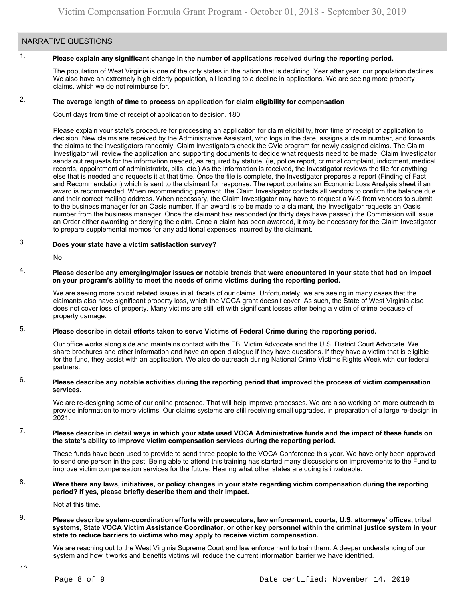### NARRATIVE QUESTIONS

#### 1. **Please explain any significant change in the number of applications received during the reporting period.**

The population of West Virginia is one of the only states in the nation that is declining. Year after year, our population declines. We also have an extremely high elderly population, all leading to a decline in applications. We are seeing more property claims, which we do not reimburse for.

#### 2. **The average length of time to process an application for claim eligibility for compensation**

Count days from time of receipt of application to decision. 180

Please explain your state's procedure for processing an application for claim eligibility, from time of receipt of application to decision. New claims are received by the Administrative Assistant, who logs in the date, assigns a claim number, and forwards the claims to the investigators randomly. Claim Investigators check the CVic program for newly assigned claims. The Claim Investigator will review the application and supporting documents to decide what requests need to be made. Claim Investigator sends out requests for the information needed, as required by statute. (ie, police report, criminal complaint, indictment, medical records, appointment of administratrix, bills, etc.) As the information is received, the Investigator reviews the file for anything else that is needed and requests it at that time. Once the file is complete, the Investigator prepares a report (Finding of Fact and Recommendation) which is sent to the claimant for response. The report contains an Economic Loss Analysis sheet if an award is recommended. When recommending payment, the Claim Investigator contacts all vendors to confirm the balance due and their correct mailing address. When necessary, the Claim Investigator may have to request a W-9 from vendors to submit to the business manager for an Oasis number. If an award is to be made to a claimant, the Investigator requests an Oasis number from the business manager. Once the claimant has responded (or thirty days have passed) the Commission will issue an Order either awarding or denying the claim. Once a claim has been awarded, it may be necessary for the Claim Investigator to prepare supplemental memos for any additional expenses incurred by the claimant.

#### 3. **Does your state have a victim satisfaction survey?**

No

#### 4. **Please describe any emerging/major issues or notable trends that were encountered in your state that had an impact on your program's ability to meet the needs of crime victims during the reporting period.**

We are seeing more opioid related issues in all facets of our claims. Unfortunately, we are seeing in many cases that the claimants also have significant property loss, which the VOCA grant doesn't cover. As such, the State of West Virginia also does not cover loss of property. Many victims are still left with significant losses after being a victim of crime because of property damage.

#### 5. **Please describe in detail efforts taken to serve Victims of Federal Crime during the reporting period.**

Our office works along side and maintains contact with the FBI Victim Advocate and the U.S. District Court Advocate. We share brochures and other information and have an open dialogue if they have questions. If they have a victim that is eligible for the fund, they assist with an application. We also do outreach during National Crime Victims Rights Week with our federal partners.

#### 6. **Please describe any notable activities during the reporting period that improved the process of victim compensation services.**

We are re-designing some of our online presence. That will help improve processes. We are also working on more outreach to provide information to more victims. Our claims systems are still receiving small upgrades, in preparation of a large re-design in 2021.

#### 7. **Please describe in detail ways in which your state used VOCA Administrative funds and the impact of these funds on the state's ability to improve victim compensation services during the reporting period.**

These funds have been used to provide to send three people to the VOCA Conference this year. We have only been approved to send one person in the past. Being able to attend this training has started many discussions on improvements to the Fund to improve victim compensation services for the future. Hearing what other states are doing is invaluable.

#### 8. **Were there any laws, initiatives, or policy changes in your state regarding victim compensation during the reporting period? If yes, please briefly describe them and their impact.**

Not at this time.

#### 9. **Please describe system-coordination efforts with prosecutors, law enforcement, courts, U.S. attorneys' offices, tribal systems, State VOCA Victim Assistance Coordinator, or other key personnel within the criminal justice system in your state to reduce barriers to victims who may apply to receive victim compensation.**

We are reaching out to the West Virginia Supreme Court and law enforcement to train them. A deeper understanding of our system and how it works and benefits victims will reduce the current information barrier we have identified.